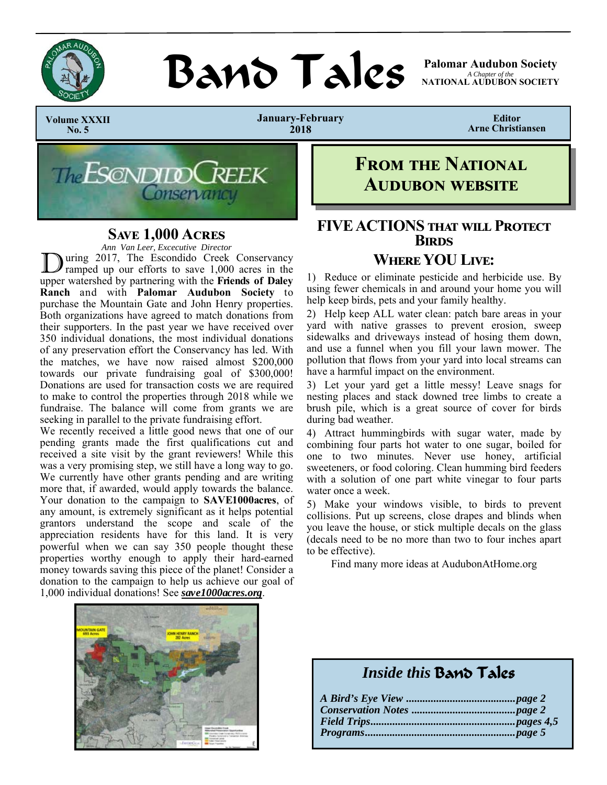

# **BAND TAILS** Palomar Audubon Society

*A Chapter of the*  **NATIONAL AUDUBON SOCIETY** 

 **Volume XXXII No. 5** 

**January-February 2018** 

**Editor Arne Christiansen** 



## **SAVE 1,000 ACRES**

*Ann Van Leer, Excecutive Director* 

uring 2017, The Escondido Creek Conservancy ramped up our efforts to save 1,000 acres in the upper watershed by partnering with the **Friends of Daley Ranch** and with **Palomar Audubon Society** to purchase the Mountain Gate and John Henry properties. Both organizations have agreed to match donations from their supporters. In the past year we have received over 350 individual donations, the most individual donations of any preservation effort the Conservancy has led. With the matches, we have now raised almost \$200,000 towards our private fundraising goal of \$300,000! Donations are used for transaction costs we are required to make to control the properties through 2018 while we fundraise. The balance will come from grants we are seeking in parallel to the private fundraising effort.

We recently received a little good news that one of our pending grants made the first qualifications cut and received a site visit by the grant reviewers! While this was a very promising step, we still have a long way to go. We currently have other grants pending and are writing more that, if awarded, would apply towards the balance. Your donation to the campaign to **SAVE1000acres**, of any amount, is extremely significant as it helps potential grantors understand the scope and scale of the appreciation residents have for this land. It is very powerful when we can say 350 people thought these properties worthy enough to apply their hard-earned money towards saving this piece of the planet! Consider a donation to the campaign to help us achieve our goal of 1,000 individual donations! See *save1000acres.org*.



# **FROM THE NATIONAL AUDUBON WEBSITE**

## **FIVE ACTIONS THAT WILL PROTECT BIRDS WHERE YOU LIVE:**

1) Reduce or eliminate pesticide and herbicide use. By using fewer chemicals in and around your home you will help keep birds, pets and your family healthy.

2) Help keep ALL water clean: patch bare areas in your yard with native grasses to prevent erosion, sweep sidewalks and driveways instead of hosing them down, and use a funnel when you fill your lawn mower. The pollution that flows from your yard into local streams can have a harmful impact on the environment.

3) Let your yard get a little messy! Leave snags for nesting places and stack downed tree limbs to create a brush pile, which is a great source of cover for birds during bad weather.

4) Attract hummingbirds with sugar water, made by combining four parts hot water to one sugar, boiled for one to two minutes. Never use honey, artificial sweeteners, or food coloring. Clean humming bird feeders with a solution of one part white vinegar to four parts water once a week.

5) Make your windows visible, to birds to prevent collisions. Put up screens, close drapes and blinds when you leave the house, or stick multiple decals on the glass (decals need to be no more than two to four inches apart to be effective).

Find many more ideas at AudubonAtHome.org

## *Inside this* Band Tales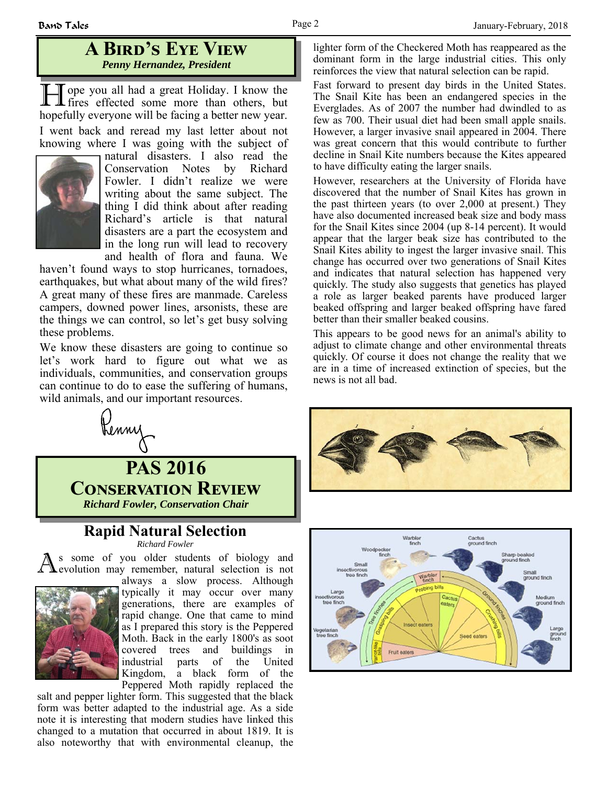## **A BIRD'S EYE VIEW** *Penny Hernandez, President*

H ope you all had a great Holiday. I know the fires effected some more than others, but hopefully everyone will be facing a better new year. I went back and reread my last letter about not knowing where I was going with the subject of



natural disasters. I also read the Conservation Notes by Richard Fowler. I didn't realize we were writing about the same subject. The thing I did think about after reading Richard's article is that natural disasters are a part the ecosystem and in the long run will lead to recovery and health of flora and fauna. We

haven't found ways to stop hurricanes, tornadoes, earthquakes, but what about many of the wild fires? A great many of these fires are manmade. Careless campers, downed power lines, arsonists, these are the things we can control, so let's get busy solving these problems.

We know these disasters are going to continue so let's work hard to figure out what we as individuals, communities, and conservation groups can continue to do to ease the suffering of humans, wild animals, and our important resources.



#### **Rapid Natural Selection**  *Richard Fowler*

s some of you older students of biology and evolution may remember, natural selection is not



always a slow process. Although typically it may occur over many generations, there are examples of rapid change. One that came to mind as I prepared this story is the Peppered Moth. Back in the early 1800's as soot covered trees and buildings in industrial parts of the United Kingdom, a black form of the Peppered Moth rapidly replaced the

salt and pepper lighter form. This suggested that the black form was better adapted to the industrial age. As a side note it is interesting that modern studies have linked this changed to a mutation that occurred in about 1819. It is also noteworthy that with environmental cleanup, the

lighter form of the Checkered Moth has reappeared as the dominant form in the large industrial cities. This only reinforces the view that natural selection can be rapid.

Fast forward to present day birds in the United States. The Snail Kite has been an endangered species in the Everglades. As of 2007 the number had dwindled to as few as 700. Their usual diet had been small apple snails. However, a larger invasive snail appeared in 2004. There was great concern that this would contribute to further decline in Snail Kite numbers because the Kites appeared to have difficulty eating the larger snails.

However, researchers at the University of Florida have discovered that the number of Snail Kites has grown in the past thirteen years (to over 2,000 at present.) They have also documented increased beak size and body mass for the Snail Kites since 2004 (up 8-14 percent). It would appear that the larger beak size has contributed to the Snail Kites ability to ingest the larger invasive snail. This change has occurred over two generations of Snail Kites and indicates that natural selection has happened very quickly. The study also suggests that genetics has played a role as larger beaked parents have produced larger beaked offspring and larger beaked offspring have fared better than their smaller beaked cousins.

This appears to be good news for an animal's ability to adjust to climate change and other environmental threats quickly. Of course it does not change the reality that we are in a time of increased extinction of species, but the news is not all bad.



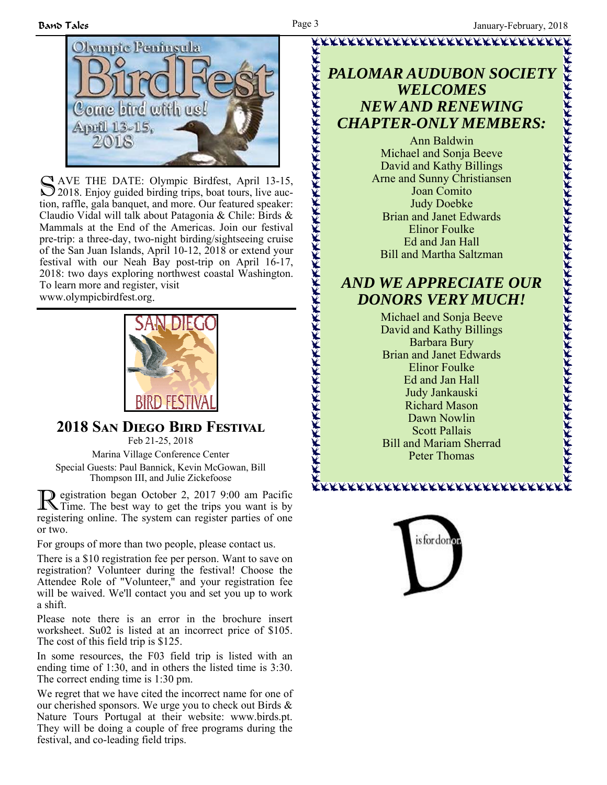

S AVE THE DATE: Olympic Birdfest, April 13-15, 2018. Enjoy guided birding trips, boat tours, live auction, raffle, gala banquet, and more. Our featured speaker: Claudio Vidal will talk about Patagonia & Chile: Birds & Mammals at the End of the Americas. Join our festival pre-trip: a three-day, two-night birding/sightseeing cruise of the San Juan Islands, April 10-12, 2018 or extend your festival with our Neah Bay post-trip on April 16-17, 2018: two days exploring northwest coastal Washington. To learn more and register, visit

www.olympicbirdfest.org.



**2018 SAN DIEGO BIRD FESTIVAL** Feb 21-25, 2018

Marina Village Conference Center Special Guests: Paul Bannick, Kevin McGowan, Bill Thompson III, and Julie Zickefoose

R egistration began October 2, 2017 9:00 am Pacific Time. The best way to get the trips you want is by registering online. The system can register parties of one or two.

For groups of more than two people, please contact us.

There is a \$10 registration fee per person. Want to save on registration? Volunteer during the festival! Choose the Attendee Role of "Volunteer," and your registration fee will be waived. We'll contact you and set you up to work a shift.

Please note there is an error in the brochure insert worksheet. Su02 is listed at an incorrect price of \$105. The cost of this field trip is \$125.

In some resources, the F03 field trip is listed with an ending time of 1:30, and in others the listed time is 3:30. The correct ending time is 1:30 pm.

We regret that we have cited the incorrect name for one of our cherished sponsors. We urge you to check out Birds & Nature Tours Portugal at their website: www.birds.pt. They will be doing a couple of free programs during the festival, and co-leading field trips.

# *PALOMAR AUDUBON SOCIETY WELCOMES NEW AND RENEWING CHAPTER-ONLY MEMBERS:*

K<br>KKKKKKKKKKKKKKKKKKKKKKKKKKKKKKKKKK

Ann Baldwin Michael and Sonja Beeve David and Kathy Billings Arne and Sunny Christiansen Joan Comito Judy Doebke Brian and Janet Edwards Elinor Foulke Ed and Jan Hall Bill and Martha Saltzman

## *AND WE APPRECIATE OUR DONORS VERY MUCH!*

Michael and Sonja Beeve David and Kathy Billings Barbara Bury Brian and Janet Edwards Elinor Foulke Ed and Jan Hall Judy Jankauski Richard Mason Dawn Nowlin Scott Pallais Bill and Mariam Sherrad Peter Thomas

xxxxxxxxxxxxxxxxxxxxxxx



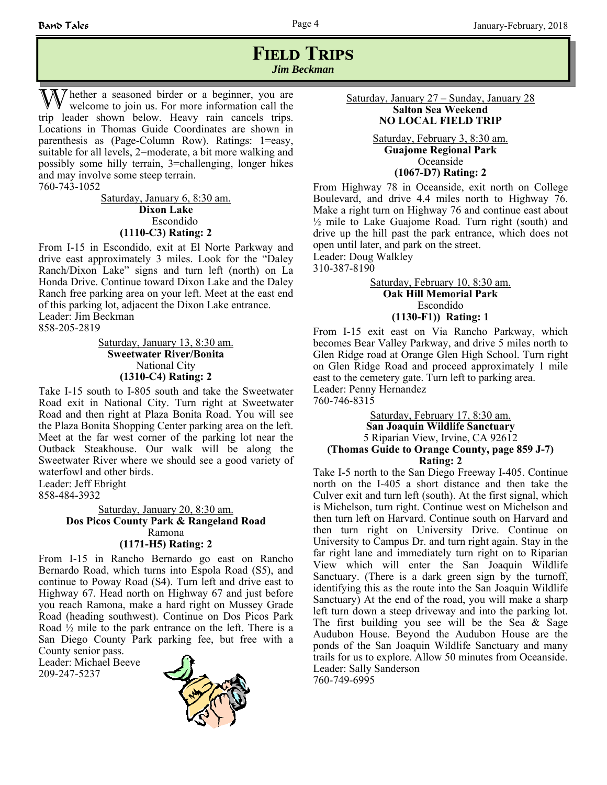### **FIELD TRIPS** *Jim Beckman*

W hether a seasoned birder or a beginner, you are welcome to join us. For more information call the trip leader shown below. Heavy rain cancels trips. Locations in Thomas Guide Coordinates are shown in parenthesis as (Page-Column Row). Ratings: 1=easy, suitable for all levels, 2=moderate, a bit more walking and possibly some hilly terrain, 3=challenging, longer hikes and may involve some steep terrain.

760-743-1052

Saturday, January 6, 8:30 am. **Dixon Lake** Escondido **(1110-C3) Rating: 2**

From I-15 in Escondido, exit at El Norte Parkway and drive east approximately 3 miles. Look for the "Daley Ranch/Dixon Lake" signs and turn left (north) on La Honda Drive. Continue toward Dixon Lake and the Daley Ranch free parking area on your left. Meet at the east end of this parking lot, adjacent the Dixon Lake entrance. Leader: Jim Beckman 858-205-2819

> Saturday, January 13, 8:30 am. **Sweetwater River/Bonita**  National City **(1310-C4) Rating: 2**

Take I-15 south to I-805 south and take the Sweetwater Road exit in National City. Turn right at Sweetwater Road and then right at Plaza Bonita Road. You will see the Plaza Bonita Shopping Center parking area on the left. Meet at the far west corner of the parking lot near the Outback Steakhouse. Our walk will be along the Sweetwater River where we should see a good variety of waterfowl and other birds.

Leader: Jeff Ebright 858-484-3932

> Saturday, January 20, 8:30 am. **Dos Picos County Park & Rangeland Road**  Ramona **(1171-H5) Rating: 2**

From I-15 in Rancho Bernardo go east on Rancho Bernardo Road, which turns into Espola Road (S5), and continue to Poway Road (S4). Turn left and drive east to Highway 67. Head north on Highway 67 and just before you reach Ramona, make a hard right on Mussey Grade Road (heading southwest). Continue on Dos Picos Park Road ½ mile to the park entrance on the left. There is a San Diego County Park parking fee, but free with a County senior pass.

Leader: Michael Beeve 209-247-5237



Saturday, January 27 – Sunday, January 28 **Salton Sea Weekend NO LOCAL FIELD TRIP**

> Saturday, February 3, 8:30 am. **Guajome Regional Park** Oceanside **(1067-D7) Rating: 2**

From Highway 78 in Oceanside, exit north on College Boulevard, and drive 4.4 miles north to Highway 76. Make a right turn on Highway 76 and continue east about  $\frac{1}{2}$  mile to Lake Guajome Road. Turn right (south) and drive up the hill past the park entrance, which does not open until later, and park on the street.

Leader: Doug Walkley 310-387-8190

> Saturday, February 10, 8:30 am. **Oak Hill Memorial Park**  Escondido **(1130-F1)) Rating: 1**

From I-15 exit east on Via Rancho Parkway, which becomes Bear Valley Parkway, and drive 5 miles north to Glen Ridge road at Orange Glen High School. Turn right on Glen Ridge Road and proceed approximately 1 mile east to the cemetery gate. Turn left to parking area. Leader: Penny Hernandez

760-746-8315

Saturday, February 17, 8:30 am. **San Joaquin Wildlife Sanctuary** 5 Riparian View, Irvine, CA 92612 **(Thomas Guide to Orange County, page 859 J-7) Rating: 2** 

Take I-5 north to the San Diego Freeway I-405. Continue north on the I-405 a short distance and then take the Culver exit and turn left (south). At the first signal, which is Michelson, turn right. Continue west on Michelson and then turn left on Harvard. Continue south on Harvard and then turn right on University Drive. Continue on University to Campus Dr. and turn right again. Stay in the far right lane and immediately turn right on to Riparian View which will enter the San Joaquin Wildlife Sanctuary. (There is a dark green sign by the turnoff, identifying this as the route into the San Joaquin Wildlife Sanctuary) At the end of the road, you will make a sharp left turn down a steep driveway and into the parking lot. The first building you see will be the Sea  $\&$  Sage Audubon House. Beyond the Audubon House are the ponds of the San Joaquin Wildlife Sanctuary and many trails for us to explore. Allow 50 minutes from Oceanside. Leader: Sally Sanderson

760-749-6995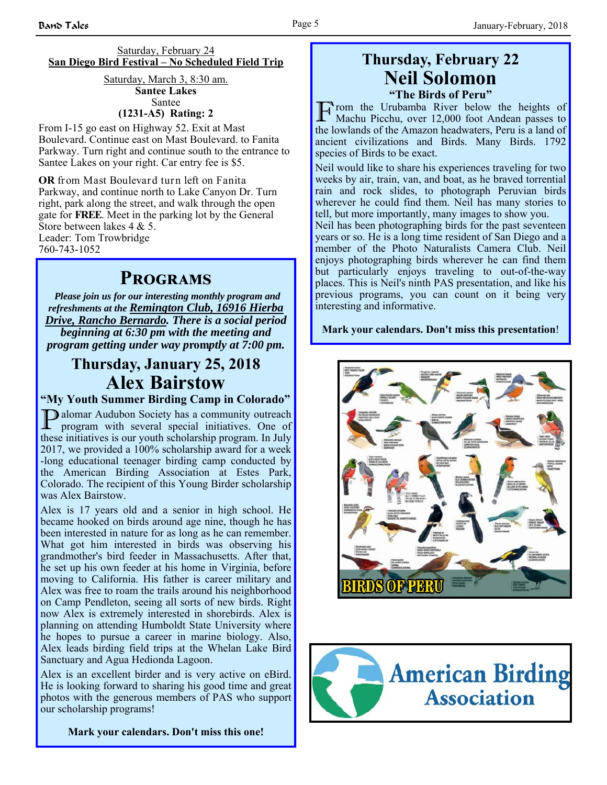#### Saturday, February 24 **San Diego Bird Festival – No Scheduled Field Trip**

#### Saturday, March 3, 8:30 am. **Santee Lakes** Santee

#### **(1231-A5) Rating: 2**

From I-15 go east on Highway 52. Exit at Mast Boulevard. Continue east on Mast Boulevard. to Fanita Parkway. Turn right and continue south to the entrance to Santee Lakes on your right. Car entry fee is \$5.

**OR** from Mast Boulevard turn left on Fanita Parkway, and continue north to Lake Canyon Dr. Turn right, park along the street, and walk through the open gate for **FREE**. Meet in the parking lot by the General Store between lakes 4 & 5. Leader: Tom Trowbridge 760-743-1052

## **PROGRAMS**

*Please join us for our interesting monthly program and refreshments at the Remington Club, 16916 Hierba Drive, Rancho Bernardo. There is a social period beginning at 6:30 pm with the meeting and program getting under way p***rom***ptly at 7:00 pm.*

# **Thursday, January 25, 2018 Alex Bairstow**

**"My Youth Summer Birding Camp in Colorado"**

**D** alomar Audubon Society has a community outreach program with several special initiatives. One of these initiatives is our youth scholarship program. In July 2017, we provided a 100% scholarship award for a week -long educational teenager birding camp conducted by the American Birding Association at Estes Park, Colorado. The recipient of this Young Birder scholarship was Alex Bairstow.

Alex is 17 years old and a senior in high school. He became hooked on birds around age nine, though he has been interested in nature for as long as he can remember. What got him interested in birds was observing his grandmother's bird feeder in Massachusetts. After that, he set up his own feeder at his home in Virginia, before moving to California. His father is career military and Alex was free to roam the trails around his neighborhood on Camp Pendleton, seeing all sorts of new birds. Right now Alex is extremely interested in shorebirds. Alex is planning on attending Humboldt State University where he hopes to pursue a career in marine biology. Also, Alex leads birding field trips at the Whelan Lake Bird Sanctuary and Agua Hedionda Lagoon.

Alex is an excellent birder and is very active on eBird. He is looking forward to sharing his good time and great photos with the generous members of PAS who support our scholarship programs!

**Mark your calendars. Don't miss this one!**

# **Thursday, February 22 Neil Solomon**

**"The Birds of Peru"** 

From the Urubamba River below the heights of Machu Picchu, over 12,000 foot Andean passes to the lowlands of the Amazon headwaters, Peru is a land of ancient civilizations and Birds. Many Birds. 1792 species of Birds to be exact.

Neil would like to share his experiences traveling for two weeks by air, train, van, and boat, as he braved torrential rain and rock slides, to photograph Peruvian birds wherever he could find them. Neil has many stories to tell, but more importantly, many images to show you.

Neil has been photographing birds for the past seventeen years or so. He is a long time resident of San Diego and a member of the Photo Naturalists Camera Club. Neil enjoys photographing birds wherever he can find them but particularly enjoys traveling to out-of-the-way places. This is Neil's ninth PAS presentation, and like his previous programs, you can count on it being very interesting and informative.

#### **Mark your calendars. Don't miss this presentation**!